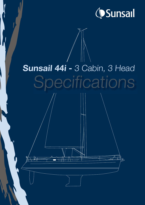

# Sunsail 44i - 3 Cabin, 3 Head Specifications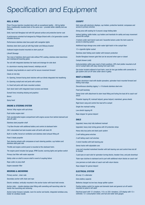## Specification and Equipment

#### HULL & DECK

Prism Process Injection moulded deck with an exceptional rigidity – 300 kg lighter than a traditionally moulded deck of the same size – provides better stability and sea keeping.

Solid, hand-laid fibreglass hull with ISO gelcoat surface and protective barrier coat

A performance-oriented hull designed by Philippe Briand with a 3rd generation counter moulded structure

Performance stainless steel bow pulpit with navigation lights

Stainless steel stern push pit with flag holder and lifebuoy bracket

Outboard engine bracket mounted on stern push pit

#### Liferaft Stowage

Two rows of stainless steel guard rails without PVC coating, stainless steel stanchions and midships/aft boarding gates

Toe rail with integrated stainless fair leads and drainage for side deck

6 x aluminium mooring cleats forward, midships and aft

Sculpted, long handrails on coach roof for secure movement forward

Cleats at mid ship

9 x Opening, forward facing deck hatches with sun blinds integrated into headlining

6 x Opening cockpit and roof ports with curtains

4 x fixed hull ports with track-mounted curtains

Each deck hatch with integrated insect screens and blinds

Sunsail livery including striping and graphics

Bimini

Spray hood

#### ENGINE & STEERING SYSTEM

Yanmar 54hp engine with sail drives

Push button engine start

Fully soundproofed engine compartment with engine access from behind stairwell and also aft cabin

Stainless steel propeller shaft

7 hp Bow thruster with additional battery and control at starboard helm

240 l rotomolded fuel tank located under aft berth with deck fill

Built-in muffler, forced air ventilation and stainless steel exhaust fitting aft

Fixed 3 blade propeller

Twin steering wheels with compasses at each steering position, cup holders and stainless steel grab rails

Throttle and engine control panel is mounted at the starboard helm.

The engine panel includes fuel gauge, RPM Counter, warning lights and ignition switch

Primary fuel filter with water separator

Safety collar on shaft to secure shaft in event of coupling failure

Rope cutter on prop shaft

Engine seawater filter

#### MOORING & ANCHORING

Primary anchor chain rode

Secondary anchor with chain and rope

Electric windlass; vertically-mounted in the anchor locker with hand-held remote.

Anchor roller -- double stainless steel fitting with swivelling self-launching roller for hands-free launching and retrieving

Anchor locker forward, lockable, room for anchor and tackle, integrated windlass area, holder for windlass handle

#### **COCKPIT**

Helm area with electronic displays, cup holders, protective handrail, compasses and access to primary winches

Dining area with seating for 6 around a large folding table

Indirect lighting, bottle holder, cup holders and handrails for safety and easy movement around the cockpit

2 lockers under each bench seat and 2 lazarette lockers under the helm seats for access to steering system

Additional large storage area under water tight hatch in the cockpit floor

12 v cigarette lighter socket

Stainless steel folding swim ladder with transom protection

Double fibreglass transom gate that can be secured when open or closed

Cockpit shower (cold)

Instrumentation within easy reach of helm positions. GPS chart plotter mounted at aft end of cockpit table with easy viewing from each helm

Gas locker located outboard of port helm, room for two gas bottles with connection to gas system and cut-off valve under stove in galley

#### MAST & RIGGING

Classic aluminium mast with double spreaders, spinnaker track mounted forward and folding mast steps

Discontinuous standing rigging 1 x 19 strands stainless steel wire

Fixed split backstay

Genoa furler with attachment to stem head fitting and furling line lead aft to coach roof winch

Polyester topping lift, mainsail halyard, genoa halyard, mainsheet, genoa sheets

Rigid boom vang and control line lead aft to cockpit

Single line mainsail reefing

Low stretch topping lift

Rope stopper for genoa halyard

#### SAILS

Upgraded, heavy duty fully battened mainsail

Upgraded, heavy duty furling genoa with UV protection strips

Heavy duty lazy jacks and stack pack system

2 self-tailing genoa winches

2 self-tailing coach roof winches

2 winch handles with ball-bearing grip

Genoa tracks with adjustable cars

Long roof-mounted mainsheet traveller with ball-bearing cars and control lines led aft to cockpit

3 pad eyes on each side for spinnaker turning blocks, tweaker lines, and pole downhaul

Triple rope clutches to starboard and to port with additional return blocks on coach roof

Line jammers on both sides of coach roof with return blocks

Rope stopper for genoa halyard

#### ELECTRICAL SYSTEM

80 amp 12 v alternator

Extra battery capacity

Batteries charged via low loss charge splitter system

Positive battery switch for engine and domestic bank and general cut-off switch mounted on panel in aft cabin

Electrical panel with 12 v breakers, 110 v or 220 v breakers, LCD display with 12 v voltmeter, 12 v consumption meter, and fuel and water tank gauges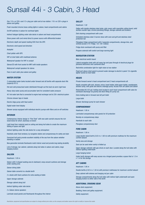# Sunsail 44i - 3 Cabin, 3 Head

One 110 v or 220 v and 12 v plug per cabin and at nav station. 110 v or 220 v plugs in saloon and galley

Flush mounted chrome brass ceiling lights in saloon, head compartments and cabins

On/Off switches in saloon for overhead lights

Indirect halogen lighting under side decks in saloon and head compartments

Shore power with cord wired direct to power source with differential breaker

Electronic depth and speed reading SOG from the GPS

Electronic wind speed and direction

Autopilot

Chart plotter with GPS

VHF at chart table with masthead antenna

Waterproof speaker for VHF in cockpit

Stereo/CD with front socket for MP3 with inside speakers

Waterproof cockpit speakers for stereo

Fans in each cabin plus saloon and galley

#### WATER SYSTEM

2 rotomolded water tanks located under forward and aft berths with separate deck fills (capacity 615 l)

Hot and cold pressurised water distributed through-out the boat via semi-rigid hose

Heavy-duty water pump and accumulator tank for consistent water pressure

40 l hot water tank that is connected to engine heat exchanger and to 230 v electrical system

Chrome shower taps in heads

Electric bilge pump with float switch

Digital water level display

Shower sumps equipped with individual electric pumps with filters and on-off switches

#### INTERIOR

Contemporary interior design in "Fine Teak" with new satin varnish ensures the rich wood tones for which Jeanneau is known

Light head liner material used on ceiling and along hull sides to create the maximum feeling of space and light

Indirect lighting under the side decks for a cosy atmosphere

Handrails under fixed windows, by navigation station and companionway for safety and style

Oversized hull ports provide excellent visibility of the sea from the saloon whether standing or seated

New generation laminate floorboards match interior wood and provide long-lasting durability

Lots of storage, bar cabinet, cabinets along hull sides in saloon and cabins, large hanging lockers

#### **SALOON**

Headroom: 1.93 m

Saloon with U-shaped seating area to starboard, wrap-around cushions and storage under seating area

Saloon dining table

Saloon table converts to a double berth

2 x stools with fixed cushions for extra seating at table

Upper storage cabinets

Storage cabinet along hull

Indirect lighting under side decks

2 x Saloon stereo speakers

Laminate wood panels and floorboards throughout the interior

#### **GALLEY**

Headroom: 1.92

Galley with double stainless steel sinks, sink covers with reversible cutting board, solid surface counter tops, chrome plumbing fittings, storage cabinets and drawers

Dish draining compartment with cover

Gimballed stainless steel 2-burner stove with oven and grill and stainless steel protection bar

Fibreglass fridge compartment with 2 separate compartments, storage bins, and vertical access (175 l fridge, 12v / 85 l icebox)

Fridge drain overboard with pump and filter

Propane solenoid with switch and large warning light

#### NAVIGATION STATION

Main electrical switch board

Lateral navigation desk with roll-away top and pass through of electrical plugs for personal electronics and cushioned stool

Red/white combination light for night vision at nav station

Fixed port above chart panel to prevent water damage to electric's panel 12v cigarette lighter socket at chart table

#### **HFADS**

Private forward owner's head compartment and 2 head compartments aft.

Heads complete with sink, shower, mirror, towel holder, toilet paper holder, wastebasket, shower sump, with grate and electric drainage pump. Access from aft cabins and saloon

Rotomolded 85 l/22 gal. holding tank located in each head compartment with valve for overboard discharge via gravity and deck fitting for pump out.

Extra holding tank in forward and aft port toilet

Large toilet

Shower discharge pump for each shower

#### **COMPANIONWAY**

Headroom: 1.95 m

Laminated companionway side panels for UV protection

Nonslip on companionway steps

Handrails to each side

Plexiglass companionway door

#### FORE CABIN

Headroom: 1.90 m

Large double island berth (2.02 m x 1.60 m) with premium mattress for the maximum comfort aboard

Vanity area and storage

Seat can be used when vanity is folded up

Upper storage cabinets with gas struts on each door. Located along the hull sides with indirect lighting underneath

Large hanging locker

Under berth storage with easy access via a hinged panel provides a space that is 1.5 m x 1 m for flat storage

#### AFT CABINS

#### Headroom: 1.95 m

Double berths (2.02 m x 1.50 m) with premium mattresses for maximum comfort aboard Deep cabinet with shelves and hanging rod per cabin

Storage compartments along the hull sides with indirect light underneath and open hanging lockers to either side of the berth

#### ADDITIONAL CRUISING GEAR

Above-deck equipment. Bedding, linens and galley equipment.

Safety equipment.